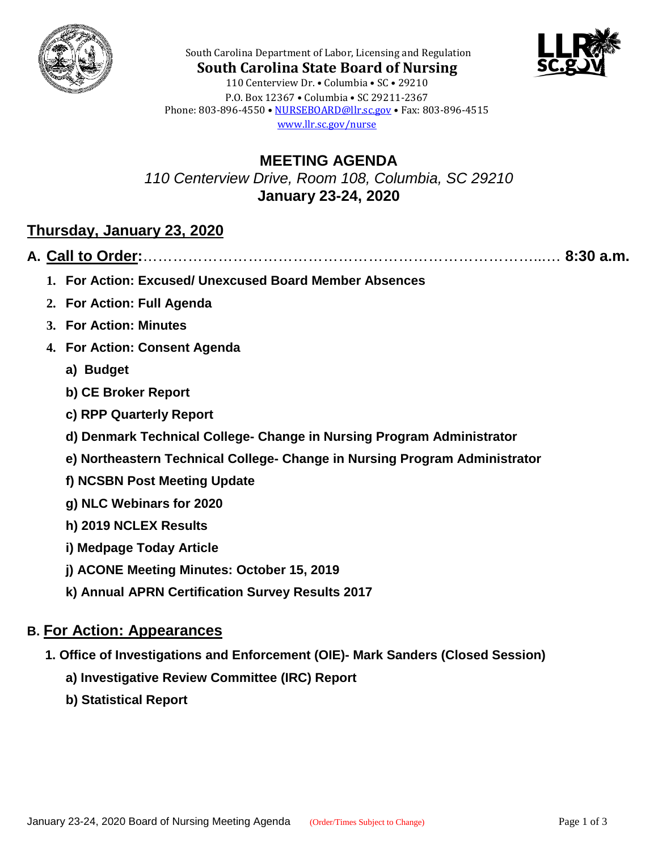



**South Carolina State Board of Nursing** 110 Centerview Dr. • Columbia • SC • 29210 P.O. Box 12367 • Columbia • SC 29211-2367 Phone: 803-896-4550 • [NURSEBOARD@llr.sc.gov](mailto:contactllr@llr.sc.gov) • Fax: 803-896-4515 [www.llr.sc.gov/nurse](http://www.llr.sc.gov/nurse)

South Carolina Department of Labor, Licensing and Regulation

**MEETING AGENDA** *110 Centerview Drive, Room 108, Columbia, SC 29210* **January 23-24, 2020**

## **Thursday, January 23, 2020**

|--|--|--|

- **1. For Action: Excused/ Unexcused Board Member Absences**
- **2. For Action: Full Agenda**
- **3. For Action: Minutes**
- **4. For Action: Consent Agenda**
	- **a) Budget**
	- **b) CE Broker Report**
	- **c) RPP Quarterly Report**
	- **d) Denmark Technical College- Change in Nursing Program Administrator**
	- **e) Northeastern Technical College- Change in Nursing Program Administrator**
	- **f) NCSBN Post Meeting Update**
	- **g) NLC Webinars for 2020**
	- **h) 2019 NCLEX Results**
	- **i) Medpage Today Article**
	- **j) ACONE Meeting Minutes: October 15, 2019**
	- **k) Annual APRN Certification Survey Results 2017**

### **B. For Action: Appearances**

- **1. Office of Investigations and Enforcement (OIE)- Mark Sanders (Closed Session)**
	- **a) Investigative Review Committee (IRC) Report**
	- **b) Statistical Report**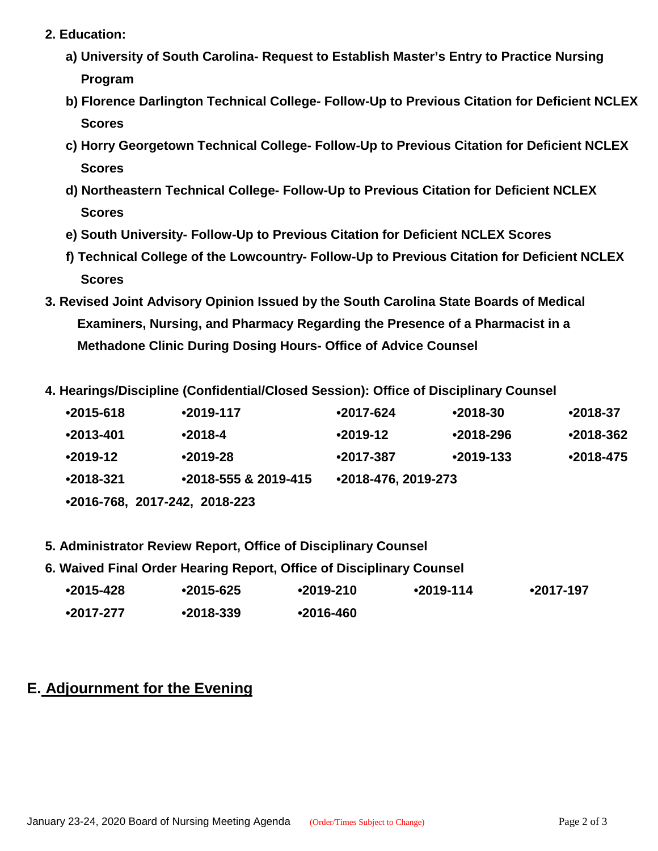- **2. Education:**
	- **a) University of South Carolina- Request to Establish Master's Entry to Practice Nursing Program**
	- **b) Florence Darlington Technical College- Follow-Up to Previous Citation for Deficient NCLEX Scores**
	- **c) Horry Georgetown Technical College- Follow-Up to Previous Citation for Deficient NCLEX Scores**
	- **d) Northeastern Technical College- Follow-Up to Previous Citation for Deficient NCLEX Scores**
	- **e) South University- Follow-Up to Previous Citation for Deficient NCLEX Scores**
	- **f) Technical College of the Lowcountry- Follow-Up to Previous Citation for Deficient NCLEX Scores**
- **3. Revised Joint Advisory Opinion Issued by the South Carolina State Boards of Medical Examiners, Nursing, and Pharmacy Regarding the Presence of a Pharmacist in a Methadone Clinic During Dosing Hours- Office of Advice Counsel**
- **4. Hearings/Discipline (Confidential/Closed Session): Office of Disciplinary Counsel**

| $•2015 - 618$                 | $•2019-117$          | $•2017-624$         | $•2018-30$  | $•2018-37$    |  |
|-------------------------------|----------------------|---------------------|-------------|---------------|--|
| $•2013 - 401$                 | $•2018-4$            | $•2019-12$          | $•2018-296$ | $•2018-362$   |  |
| $•2019-12$                    | $•2019-28$           | $•2017-387$         | $•2019-133$ | $•2018 - 475$ |  |
| $•2018-321$                   | •2018-555 & 2019-415 | •2018-476, 2019-273 |             |               |  |
| •2016-768, 2017-242, 2018-223 |                      |                     |             |               |  |

- **5. Administrator Review Report, Office of Disciplinary Counsel**
- 

| 6. Waived Final Order Hearing Report, Office of Disciplinary Counsel |           |           |               |               |             |
|----------------------------------------------------------------------|-----------|-----------|---------------|---------------|-------------|
|                                                                      | ∙2015-428 | •2015-625 | $•2019-210$   | $•2019 - 114$ | $•2017-197$ |
|                                                                      | •2017-277 | ∙2018-339 | $•2016 - 460$ |               |             |

# **E. Adjournment for the Evening**